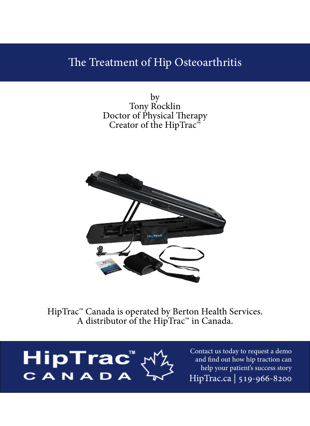### The Treatment of Hip Osteoarthritis

by Tony Rocklin Doctor of Physical Therapy Creator of the HipTrac $\overline{\mathbf{r}}$ 



HipTrac<sup>™</sup> Canada is operated by Berton Health Services. A distributor of the HipTrac<sup>™</sup> in Canada.

HipTrac<sup>"</sup><br>CANADA

Contact us today to request a demo and find out how hip traction can help your patient's success story HipTrac.ca | 519-966-8200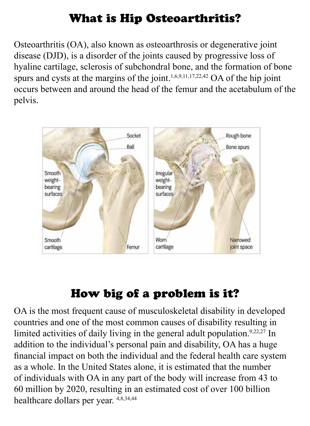# What is Hip Osteoarthritis?

Osteoarthritis (OA), also known as osteoarthrosis or degenerative joint disease (DJD), is a disorder of the joints caused by progressive loss of hyaline cartilage, sclerosis of subchondral bone, and the formation of bone spurs and cysts at the margins of the joint.<sup>1,6,9,11,17,22,42</sup> OA of the hip joint occurs between and around the head of the femur and the acetabulum of the .pelvis



# How big of a problem is it?

OA is the most frequent cause of musculoskeletal disability in developed countries and one of the most common causes of disability resulting in limited activities of daily living in the general adult population.<sup>9,22,27</sup> In addition to the individual's personal pain and disability, OA has a huge financial impact on both the individual and the federal health care system as a whole. In the United States alone, it is estimated that the number of individuals with OA in any part of the body will increase from 43 to 60 million by 2020, resulting in an estimated cost of over 100 billion healthcare dollars per year.  $4,8,34,44$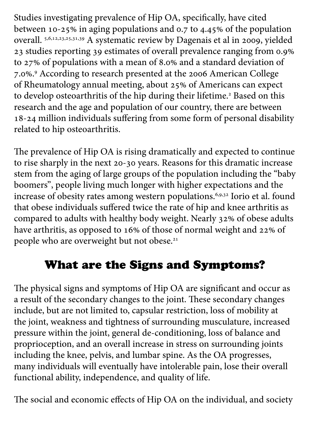Studies investigating prevalence of Hip OA, specifically, have cited between 10-25% in aging populations and 0.7 to 4.45% of the population overall. 5,6,12,23,25,31,39 A systematic review by Dagenais et al in 2009, yielded 23 studies reporting 39 estimates of overall prevalence ranging from 0.9% to 27% of populations with a mean of 8.0% and a standard deviation of 7.0%.<sup>9</sup> According to research presented at the 2006 American College of Rheumatology annual meeting, about 25% of Americans can expect to develop osteoarthritis of the hip during their lifetime.<sup>2</sup> Based on this research and the age and population of our country, there are between 18-24 million individuals suffering from some form of personal disability related to hip osteoarthritis.

The prevalence of Hip OA is rising dramatically and expected to continue to rise sharply in the next 20-30 years. Reasons for this dramatic increase stem from the aging of large groups of the population including the "baby boomers", people living much longer with higher expectations and the increase of obesity rates among western populations.<sup>6,9,32</sup> Iorio et al. found that obese individuals suffered twice the rate of hip and knee arthritis as compared to adults with healthy body weight. Nearly 32% of obese adults have arthritis, as opposed to 16% of those of normal weight and 22% of people who are overweight but not obese.<sup>21</sup>

# What are the Signs and Symptoms?

The physical signs and symptoms of Hip OA are significant and occur as a result of the secondary changes to the joint. These secondary changes include, but are not limited to, capsular restriction, loss of mobility at the joint, weakness and tightness of surrounding musculature, increased pressure within the joint, general de-conditioning, loss of balance and proprioception, and an overall increase in stress on surrounding joints including the knee, pelvis, and lumbar spine. As the OA progresses, many individuals will eventually have intolerable pain, lose their overall functional ability, independence, and quality of life.

The social and economic effects of Hip OA on the individual, and society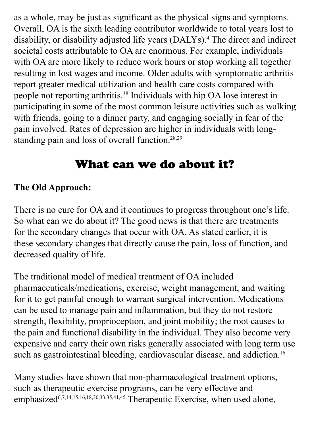as a whole, may be just as significant as the physical signs and symptoms. Overall, OA is the sixth leading contributor worldwide to total years lost to disability, or disability adjusted life years (DALYs).<sup>4</sup> The direct and indirect societal costs attributable to OA are enormous. For example, individuals with OA are more likely to reduce work hours or stop working all together resulting in lost wages and income. Older adults with symptomatic arthritis report greater medical utilization and health care costs compared with people not reporting arthritis.<sup>38</sup> Individuals with hip OA lose interest in participating in some of the most common leisure activities such as walking with friends, going to a dinner party, and engaging socially in fear of the pain involved. Rates of depression are higher in individuals with long-<br>standing pain and loss of overall function.<sup>28,29</sup>

## What can we do about it?

### **The Old Approach:**

There is no cure for OA and it continues to progress throughout one's life. So what can we do about it? The good news is that there are treatments for the secondary changes that occur with OA. As stated earlier, it is these secondary changes that directly cause the pain, loss of function, and decreased quality of life.

The traditional model of medical treatment of OA included pharmaceuticals/medications, exercise, weight management, and waiting for it to get painful enough to warrant surgical intervention. Medications can be used to manage pain and inflammation, but they do not restore strength, flexibility, proprioception, and joint mobility; the root causes to the pain and functional disability in the individual. They also become very expensive and carry their own risks generally associated with long term use such as gastrointestinal bleeding, cardiovascular disease, and addiction.<sup>16</sup>

Many studies have shown that non-pharmacological treatment options, such as therapeutic exercise programs, can be very effective and emphasized<sup>6,7,14,15,16,18,30,33,35,41,45</sup> Therapeutic Exercise, when used alone,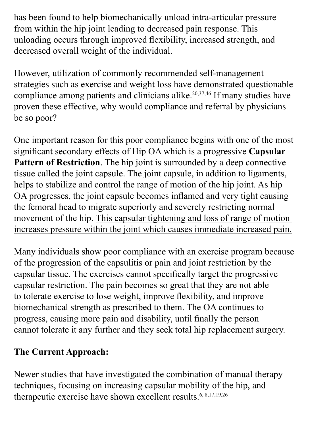has been found to help biomechanically unload intra-articular pressure from within the hip joint leading to decreased pain response. This unloading occurs through improved flexibility, increased strength, and decreased overall weight of the individual.

However, utilization of commonly recommended self-management strategies such as exercise and weight loss have demonstrated questionable compliance among patients and clinicians alike.<sup>20,37,46</sup> If many studies have proven these effective, why would compliance and referral by physicians be so poor?

One important reason for this poor compliance begins with one of the most significant secondary effects of Hip OA which is a progressive Capsular Pattern of Restriction. The hip joint is surrounded by a deep connective tissue called the joint capsule. The joint capsule, in addition to ligaments, helps to stabilize and control the range of motion of the hip joint. As hip OA progresses, the joint capsule becomes inflamed and very tight causing the femoral head to migrate superiorly and severely restricting normal movement of the hip. This capsular tightening and loss of range of motion increases pressure within the joint which causes immediate increased pain.

Many individuals show poor compliance with an exercise program because of the progression of the capsulitis or pain and joint restriction by the capsular tissue. The exercises cannot specifically target the progressive capsular restriction. The pain becomes so great that they are not able to tolerate exercise to lose weight, improve flexibility, and improve biomechanical strength as prescribed to them. The OA continues to progress, causing more pain and disability, until finally the person cannot tolerate it any further and they seek total hip replacement surgery.

#### **The Current Approach:**

Newer studies that have investigated the combination of manual therapy techniques, focusing on increasing capsular mobility of the hip, and therapeutic exercise have shown excellent results.<sup>6, 8,17,19,26</sup>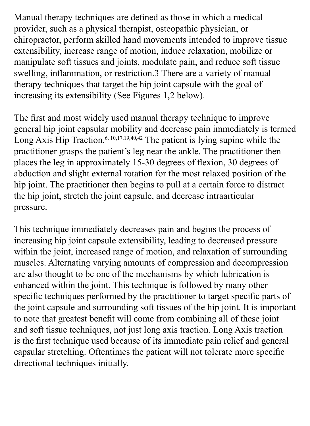Manual therapy techniques are defined as those in which a medical provider, such as a physical therapist, osteopathic physician, or chiropractor, perform skilled hand movements intended to improve tissue extensibility, increase range of motion, induce relaxation, mobilize or manipulate soft tissues and joints, modulate pain, and reduce soft tissue swelling, inflammation, or restriction.3 There are a variety of manual therapy techniques that target the hip joint capsule with the goal of increasing its extensibility (See Figures 1,2 below).

The first and most widely used manual therapy technique to improve general hip joint capsular mobility and decrease pain immediately is termed Long Axis Hip Traction.<sup>6, 10,17,19,40,42</sup> The patient is lying supine while the practitioner grasps the patient's leg near the ankle. The practitioner then places the leg in approximately 15-30 degrees of flexion, 30 degrees of abduction and slight external rotation for the most relaxed position of the hip joint. The practitioner then begins to pull at a certain force to distract the hip joint, stretch the joint capsule, and decrease intraarticular pressure.

This technique immediately decreases pain and begins the process of increasing hip joint capsule extensibility, leading to decreased pressure within the joint, increased range of motion, and relaxation of surrounding muscles. Alternating varying amounts of compression and decompression are also thought to be one of the mechanisms by which lubrication is enhanced within the joint. This technique is followed by many other specific techniques performed by the practitioner to target specific parts of the joint capsule and surrounding soft tissues of the hip joint. It is important to note that greatest benefit will come from combining all of these joint and soft tissue techniques, not just long axis traction. Long Axis traction is the first technique used because of its immediate pain relief and general capsular stretching. Oftentimes the patient will not tolerate more specific directional techniques initially.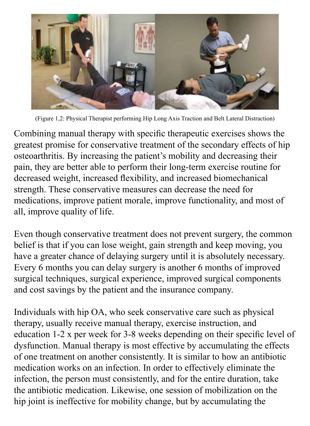

(Figure 1,2: Physical Therapist performing Hip Long Axis Traction and Belt Lateral Distraction)

Combining manual therapy with specific therapeutic exercises shows the greatest promise for conservative treatment of the secondary effects of hip osteoarthritis. By increasing the patient's mobility and decreasing their pain, they are better able to perform their long-term exercise routine for decreased weight, increased flexibility, and increased biomechanical strength. These conservative measures can decrease the need for medications, improve patient morale, improve functionality, and most of all, improve quality of life.

Even though conservative treatment does not prevent surgery, the common belief is that if you can lose weight, gain strength and keep moving, you have a greater chance of delaying surgery until it is absolutely necessary. Every 6 months you can delay surgery is another 6 months of improved surgical techniques, surgical experience, improved surgical components and cost savings by the patient and the insurance company.

Individuals with hip OA, who seek conservative care such as physical therapy, usually receive manual therapy, exercise instruction, and education  $1-2x$  per week for 3-8 weeks depending on their specific level of dysfunction. Manual therapy is most effective by accumulating the effects of one treatment on another consistently. It is similar to how an antibiotic medication works on an infection. In order to effectively eliminate the infection, the person must consistently, and for the entire duration, take the antibiotic medication. Likewise, one session of mobilization on the hip joint is ineffective for mobility change, but by accumulating the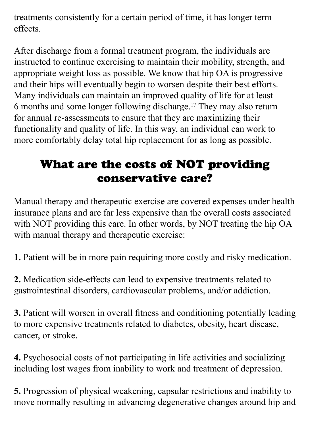treatments consistently for a certain period of time, it has longer term .effects

After discharge from a formal treatment program, the individuals are instructed to continue exercising to maintain their mobility, strength, and appropriate weight loss as possible. We know that hip OA is progressive and their hips will eventually begin to worsen despite their best efforts. Many individuals can maintain an improved quality of life for at least 6 months and some longer following discharge.<sup>17</sup> They may also return for annual re-assessments to ensure that they are maximizing their functionality and quality of life. In this way, an individual can work to more comfortably delay total hip replacement for as long as possible.

# What are the costs of NOT providing conservative care?

Manual therapy and therapeutic exercise are covered expenses under health insurance plans and are far less expensive than the overall costs associated with NOT providing this care. In other words, by NOT treating the hip OA with manual therapy and therapeutic exercise:

1. Patient will be in more pain requiring more costly and risky medication.

2. Medication side-effects can lead to expensive treatments related to gastrointestinal disorders, cardiovascular problems, and/or addiction.

**3.** Patient will worsen in overall fitness and conditioning potentially leading to more expensive treatments related to diabetes, obesity, heart disease, cancer, or stroke.

4. Psychosocial costs of not participating in life activities and socializing including lost wages from inability to work and treatment of depression.

5. Progression of physical weakening, capsular restrictions and inability to move normally resulting in advancing degenerative changes around hip and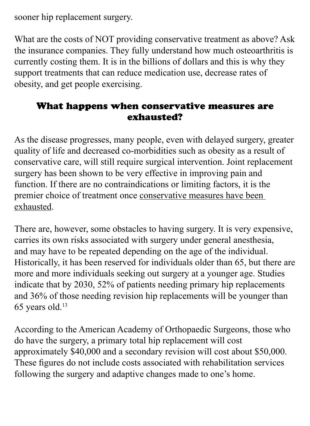sooner hip replacement surgery.

What are the costs of NOT providing conservative treatment as above? Ask the insurance companies. They fully understand how much osteoarthritis is currently costing them. It is in the billions of dollars and this is why they support treatments that can reduce medication use, decrease rates of obesity, and get people exercising.

#### What happens when conservative measures are exhausted?

As the disease progresses, many people, even with delayed surgery, greater quality of life and decreased co-morbidities such as obesity as a result of conservative care, will still require surgical intervention. Joint replacement surgery has been shown to be very effective in improving pain and function. If there are no contraindications or limiting factors, it is the premier choice of treatment once conservative measures have been exhausted.

There are, however, some obstacles to having surgery. It is very expensive, carries its own risks associated with surgery under general anesthesia, and may have to be repeated depending on the age of the individual. Historically, it has been reserved for individuals older than 65, but there are more and more individuals seeking out surgery at a younger age. Studies indicate that by 2030, 52% of patients needing primary hip replacements and 36% of those needing revision hip replacements will be younger than  $65$  years old.<sup>13</sup>

According to the American Academy of Orthopaedic Surgeons, those who do have the surgery, a primary total hip replacement will cost approximately \$40,000 and a secondary revision will cost about \$50,000. These figures do not include costs associated with rehabilitation services following the surgery and adaptive changes made to one's home.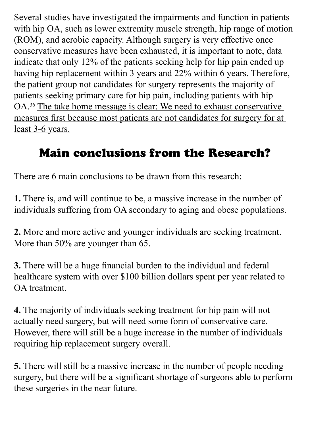Several studies have investigated the impairments and function in patients with hip OA, such as lower extremity muscle strength, hip range of motion (ROM), and aerobic capacity. Although surgery is very effective once conservative measures have been exhausted, it is important to note, data indicate that only  $12\%$  of the patients seeking help for hip pain ended up having hip replacement within 3 years and 22% within 6 years. Therefore, the patient group not candidates for surgery represents the majority of patients seeking primary care for hip pain, including patients with hip OA.<sup>36</sup> The take home message is clear: We need to exhaust conservative measures first because most patients are not candidates for surgery for at least 3-6 years.

# **Main conclusions from the Research?**

There are 6 main conclusions to be drawn from this research:

**1.** There is, and will continue to be, a massive increase in the number of individuals suffering from OA secondary to aging and obese populations.

2. More and more active and younger individuals are seeking treatment. More than  $50\%$  are younger than 65.

**3.** There will be a huge financial burden to the individual and federal healthcare system with over \$100 billion dollars spent per year related to OA treatment.

4. The majority of individuals seeking treatment for hip pain will not actually need surgery, but will need some form of conservative care. However, there will still be a huge increase in the number of individuals requiring hip replacement surgery overall.

**5.** There will still be a massive increase in the number of people needing surgery, but there will be a significant shortage of surgeons able to perform these surgeries in the near future.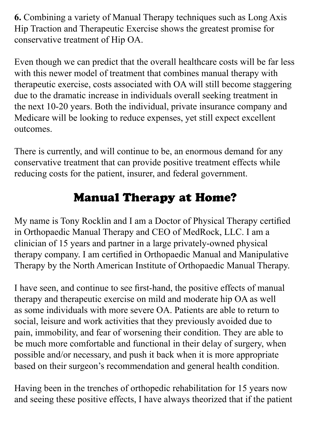6. Combining a variety of Manual Therapy techniques such as Long Axis Hip Traction and Therapeutic Exercise shows the greatest promise for conservative treatment of Hip OA.

Even though we can predict that the overall healthcare costs will be far less with this newer model of treatment that combines manual therapy with therapeutic exercise, costs associated with OA will still become staggering due to the dramatic increase in individuals overall seeking treatment in the next 10-20 years. Both the individual, private insurance company and Medicare will be looking to reduce expenses, yet still expect excellent outcomes.

There is currently, and will continue to be, an enormous demand for any conservative treatment that can provide positive treatment effects while reducing costs for the patient, insurer, and federal government.

# **Manual Therapy at Home?**

My name is Tony Rocklin and I am a Doctor of Physical Therapy certified in Orthopaedic Manual Therapy and CEO of MedRock, LLC. I am a clinician of 15 years and partner in a large privately-owned physical therapy company. I am certified in Orthopaedic Manual and Manipulative Therapy by the North American Institute of Orthopaedic Manual Therapy.

I have seen, and continue to see first-hand, the positive effects of manual therapy and therapeutic exercise on mild and moderate hip OA as well as some individuals with more severe OA. Patients are able to return to social, leisure and work activities that they previously avoided due to pain, immobility, and fear of worsening their condition. They are able to be much more comfortable and functional in their delay of surgery, when possible and/or necessary, and push it back when it is more appropriate based on their surgeon's recommendation and general health condition.

Having been in the trenches of orthopedic rehabilitation for 15 years now and seeing these positive effects, I have always theorized that if the patient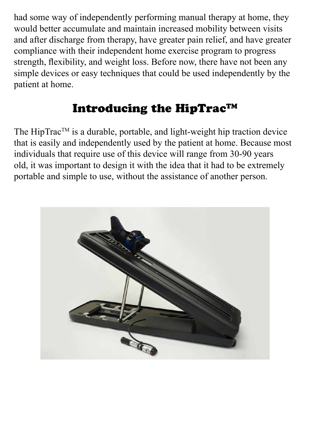had some way of independently performing manual therapy at home, they would better accumulate and maintain increased mobility between visits and after discharge from therapy, have greater pain relief, and have greater compliance with their independent home exercise program to progress strength, flexibility, and weight loss. Before now, there have not been any simple devices or easy techniques that could be used independently by the patient at home.

# Introducing the HipTrac<sup>TM</sup>

The Hip Trac<sup>TM</sup> is a durable, portable, and light-weight hip traction device that is easily and independently used by the patient at home. Because most individuals that require use of this device will range from 30-90 years old, it was important to design it with the idea that it had to be extremely portable and simple to use, without the assistance of another person.

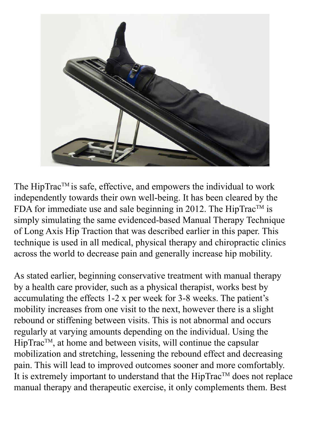

The HipTrac<sup>TM</sup> is safe, effective, and empowers the individual to work independently towards their own well-being. It has been cleared by the FDA for immediate use and sale beginning in 2012. The HipTrac<sup>TM</sup> is simply simulating the same evidenced-based Manual Therapy Technique of Long Axis Hip Traction that was described earlier in this paper. This technique is used in all medical, physical therapy and chiropractic clinics across the world to decrease pain and generally increase hip mobility.

As stated earlier, beginning conservative treatment with manual therapy by a health care provider, such as a physical therapist, works best by accumulating the effects  $1-2x$  per week for  $3-8$  weeks. The patient's mobility increases from one visit to the next, however there is a slight rebound or stiffening between visits. This is not abnormal and occurs regularly at varying amounts depending on the individual. Using the  $HipTrac^{TM}$ , at home and between visits, will continue the capsular mobilization and stretching, lessening the rebound effect and decreasing pain. This will lead to improved outcomes sooner and more comfortably. It is extremely important to understand that the  $HipTrac^{TM}$  does not replace manual therapy and therapeutic exercise, it only complements them. Best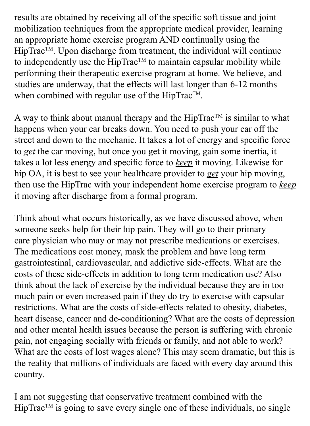results are obtained by receiving all of the specific soft tissue and joint mobilization techniques from the appropriate medical provider, learning an appropriate home exercise program AND continually using the HipTrac<sup>TM</sup>. Upon discharge from treatment, the individual will continue to independently use the HipTrac<sup>TM</sup> to maintain capsular mobility while performing their therapeutic exercise program at home. We believe, and studies are underway, that the effects will last longer than 6-12 months when combined with regular use of the HipTrac™.

A way to think about manual therapy and the HipTrac<sup>TM</sup> is similar to what happens when your car breaks down. You need to push your car off the street and down to the mechanic. It takes a lot of energy and specific force to get the car moving, but once you get it moving, gain some inertia, it takes a lot less energy and specific force to keep it moving. Likewise for hip OA, it is best to see your healthcare provider to get your hip moving, then use the HipTrac with your independent home exercise program to **keep** it moving after discharge from a formal program.

Think about what occurs historically, as we have discussed above, when someone seeks help for their hip pain. They will go to their primary care physician who may or may not prescribe medications or exercises. The medications cost money, mask the problem and have long term gastrointestinal, cardiovascular, and addictive side-effects. What are the costs of these side-effects in addition to long term medication use? Also think about the lack of exercise by the individual because they are in too much pain or even increased pain if they do try to exercise with capsular restrictions. What are the costs of side-effects related to obesity, diabetes, heart disease, cancer and de-conditioning? What are the costs of depression and other mental health issues because the person is suffering with chronic pain, not engaging socially with friends or family, and not able to work? What are the costs of lost wages alone? This may seem dramatic, but this is the reality that millions of individuals are faced with every day around this country.

I am not suggesting that conservative treatment combined with the  $HipTrac^{TM}$  is going to save every single one of these individuals, no single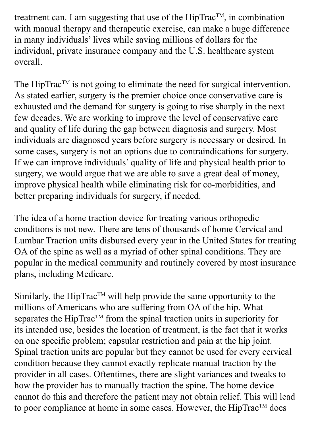treatment can. I am suggesting that use of the  $HipTrac^{TM}$ , in combination with manual therapy and therapeutic exercise, can make a huge difference in many individuals' lives while saving millions of dollars for the individual, private insurance company and the U.S. healthcare system overall.

The HipTrac<sup>TM</sup> is not going to eliminate the need for surgical intervention. As stated earlier, surgery is the premier choice once conservative care is exhausted and the demand for surgery is going to rise sharply in the next few decades. We are working to improve the level of conservative care and quality of life during the gap between diagnosis and surgery. Most individuals are diagnosed years before surgery is necessary or desired. In some cases, surgery is not an options due to contraindications for surgery. If we can improve individuals' quality of life and physical health prior to surgery, we would argue that we are able to save a great deal of money, improve physical health while eliminating risk for co-morbidities, and better preparing individuals for surgery, if needed.

The idea of a home traction device for treating various orthopedic conditions is not new. There are tens of thousands of home Cervical and Lumbar Traction units disbursed every year in the United States for treating OA of the spine as well as a myriad of other spinal conditions. They are popular in the medical community and routinely covered by most insurance plans, including Medicare.

Similarly, the HipTrac<sup>TM</sup> will help provide the same opportunity to the millions of Americans who are suffering from OA of the hip. What separates the HipTrac<sup>TM</sup> from the spinal traction units in superiority for its intended use, besides the location of treatment, is the fact that it works on one specific problem; capsular restriction and pain at the hip joint. Spinal traction units are popular but they cannot be used for every cervical condition because they cannot exactly replicate manual traction by the provider in all cases. Oftentimes, there are slight variances and tweaks to how the provider has to manually traction the spine. The home device cannot do this and therefore the patient may not obtain relief. This will lead to poor compliance at home in some cases. However, the  $HipTrac^{TM}$  does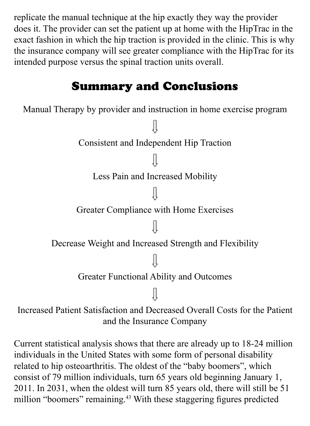replicate the manual technique at the hip exactly they way the provider does it. The provider can set the patient up at home with the HipTrac in the exact fashion in which the hip traction is provided in the clinic. This is why the insurance company will see greater compliance with the HipTrac for its intended purpose versus the spinal traction units overall.

# **Summary and Conclusions**

Manual Therapy by provider and instruction in home exercise program Consistent and Independent Hip Traction Less Pain and Increased Mobility Greater Compliance with Home Exercises Decrease Weight and Increased Strength and Flexibility Greater Functional Ability and Outcomes Increased Patient Satisfaction and Decreased Overall Costs for the Patient and the Insurance Company

Current statistical analysis shows that there are already up to 18-24 million individuals in the United States with some form of personal disability related to hip osteoarthritis. The oldest of the "baby boomers", which consist of 79 million individuals, turn 65 years old beginning January 1, 2011. In 2031, when the oldest will turn 85 years old, there will still be 51 million "boomers" remaining.<sup>43</sup> With these staggering figures predicted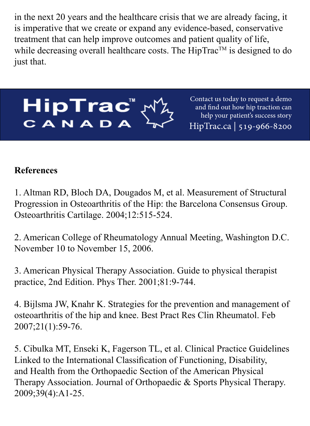in the next 20 years and the healthcare crisis that we are already facing, it is imperative that we create or expand any evidence-based, conservative treatment that can help improve outcomes and patient quality of life, while decreasing overall healthcare costs. The HipTrac<sup>TM</sup> is designed to do just that.



Contact us today to request a demo and find out how hip traction can help your patient's success story HipTrac.ca 519-966-8200

#### **References**

1. Altman RD, Bloch DA, Dougados M, et al. Measurement of Structural Progression in Osteoarthritis of the Hip: the Barcelona Consensus Group. Osteoarthritis Cartilage. 2004;12:515-524.

2. American College of Rheumatology Annual Meeting, Washington D.C. November 10 to November 15, 2006.

3. American Physical Therapy Association. Guide to physical therapist practice, 2nd Edition. Phys Ther. 2001;81:9-744.

4. Bijlsma JW, Knahr K. Strategies for the prevention and management of osteoarthritis of the hip and knee. Best Pract Res Clin Rheumatol. Feb 2007;21(1):59-76.

5. Cibulka MT, Enseki K, Fagerson TL, et al. Clinical Practice Guidelines Linked to the International Classification of Functioning, Disability, and Health from the Orthopaedic Section of the American Physical Therapy Association. Journal of Orthopaedic & Sports Physical Therapy. 2009;39(4):A1-25.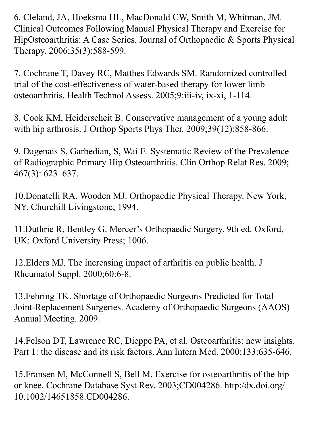6. Cleland, JA, Hoeksma HL, MacDonald CW, Smith M, Whitman, JM. Clinical Outcomes Following Manual Physical Therapy and Exercise for HipOsteoarthritis: A Case Series. Journal of Orthopaedic & Sports Physical Therapy. 2006;35(3):588-599.

7. Cochrane T, Davey RC, Matthes Edwards SM. Randomized controlled trial of the cost-effectiveness of water-based therapy for lower limb osteoarthritis. Health Technol Assess. 2005;9:iii-iv, ix-xi, 1-114.

8. Cook KM, Heiderscheit B. Conservative management of a young adult with hip arthrosis. J Orthop Sports Phys Ther. 2009;39(12):858-866.

9. Dagenais S, Garbedian, S, Wai E. Systematic Review of the Prevalence of Radiographic Primary Hip Osteoarthritis. Clin Orthop Relat Res. 2009; 467(3): 623–637.

10. Donatelli RA, Wooden MJ. Orthopaedic Physical Therapy. New York, NY. Churchill Livingstone; 1994.

11. Duthrie R, Bentley G. Mercer's Orthopaedic Surgery. 9th ed. Oxford, UK: Oxford University Press; 1006.

12. Elders MJ. The increasing impact of arthritis on public health. J Rheumatol Suppl. 2000;60:6-8.

13. Fehring TK. Shortage of Orthopaedic Surgeons Predicted for Total Joint-Replacement Surgeries. Academy of Orthopaedic Surgeons (AAOS) Annual Meeting. 2009.

14. Felson DT, Lawrence RC, Dieppe PA, et al. Osteoarthritis: new insights. Part 1: the disease and its risk factors. Ann Intern Med. 2000;133:635-646.

15. Fransen M, McConnell S, Bell M. Exercise for osteoarthritis of the hip or knee. Cochrane Database Syst Rev. 2003;CD004286. http:/dx.doi.org/ 10.1002/14651858.CD004286.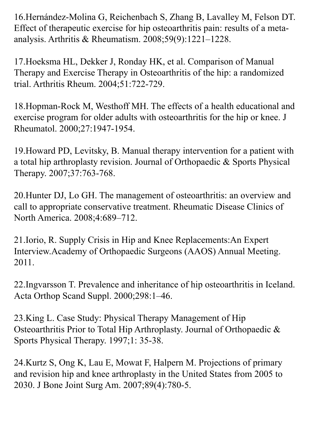16. Hernández-Molina G, Reichenbach S, Zhang B, Lavalley M, Felson DT. Effect of therapeutic exercise for hip osteoarthritis pain: results of a meta-<br>analysis. Arthritis & Rheumatism. 2008;59(9):1221–1228.

17. Hoeksma HL, Dekker J, Ronday HK, et al. Comparison of Manual Therapy and Exercise Therapy in Osteoarthritis of the hip: a randomized trial. Arthritis Rheum. 2004;51:722-729.

18. Hopman-Rock M, Westhoff MH. The effects of a health educational and exercise program for older adults with osteoarthritis for the hip or knee. J Rheumatol. 2000;27:1947-1954.

19. Howard PD, Levitsky, B. Manual therapy intervention for a patient with a total hip arthroplasty revision. Journal of Orthopaedic  $\&$  Sports Physical Therapy. 2007;37:763-768.

20. Hunter DJ, Lo GH. The management of osteoarthritis: an overview and call to appropriate conservative treatment. Rheumatic Disease Clinics of North America. 2008;4:689-712.

21. Iorio, R. Supply Crisis in Hip and Knee Replacements: An Expert Interview. Academy of Orthopaedic Surgeons (AAOS) Annual Meeting. 2011.

22. Ingvarsson T. Prevalence and inheritance of hip osteoarthritis in Iceland. Acta Orthop Scand Suppl. 2000;298:1-46.

23. King L. Case Study: Physical Therapy Management of Hip Osteoarthritis Prior to Total Hip Arthroplasty. Journal of Orthopaedic  $\&$ Sports Physical Therapy. 1997;1: 35-38.

24. Kurtz S, Ong K, Lau E, Mowat F, Halpern M. Projections of primary and revision hip and knee arthroplasty in the United States from 2005 to 2030. J Bone Joint Surg Am. 2007;89(4):780-5.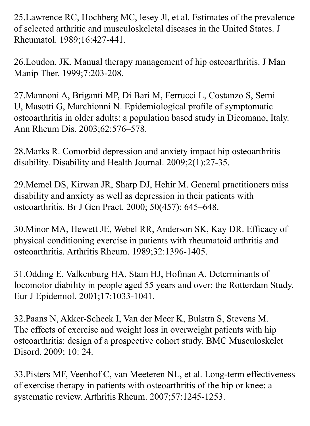25. Lawrence RC, Hochberg MC, lesey Jl, et al. Estimates of the prevalence of selected arthritic and musculoskeletal diseases in the United States. J Rheumatol. 1989;16:427-441.

26. Loudon, JK. Manual therapy management of hip osteoarthritis. J Man Manip Ther. 1999;7:203-208.

27. Mannoni A, Briganti MP, Di Bari M, Ferrucci L, Costanzo S, Serni U, Masotti G, Marchionni N. Epidemiological profile of symptomatic osteoarthritis in older adults: a population based study in Dicomano, Italy. Ann Rheum Dis. 2003;62:576–578.

28. Marks R. Comorbid depression and anxiety impact hip osteoarthritis disability. Disability and Health Journal.  $2009;2(1):27-35$ .

29. Memel DS, Kirwan JR, Sharp DJ, Hehir M. General practitioners miss disability and anxiety as well as depression in their patients with osteoarthritis. Br J Gen Pract. 2000; 50(457): 645-648.

30. Minor MA, Hewett JE, Webel RR, Anderson SK, Kay DR. Efficacy of physical conditioning exercise in patients with rheumatoid arthritis and osteoarthritis. Arthritis Rheum. 1989;32:1396-1405.

31. Odding E, Valkenburg HA, Stam HJ, Hofman A. Determinants of locomotor diability in people aged 55 years and over: the Rotterdam Study. Eur J Epidemiol. 2001;17:1033-1041.

32. Paans N, Akker-Scheek I, Van der Meer K, Bulstra S, Stevens M. The effects of exercise and weight loss in overweight patients with hip osteoarthritis: design of a prospective cohort study. BMC Musculoskelet Disord. 2009; 10: 24.

33. Pisters MF, Veenhof C, van Meeteren NL, et al. Long-term effectiveness of exercise therapy in patients with osteoarthritis of the hip or knee: a systematic review. Arthritis Rheum. 2007;57:1245-1253.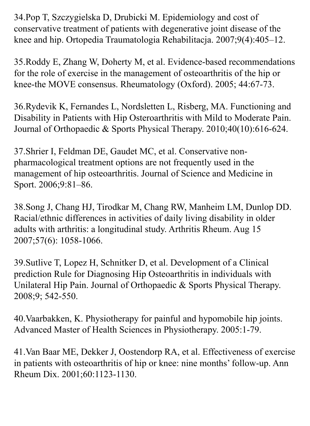34. Pop T, Szczygielska D, Drubicki M. Epidemiology and cost of conservative treatment of patients with degenerative joint disease of the knee and hip. Ortopedia Traumatologia Rehabilitacja. 2007;9(4):405–12.

35. Roddy E, Zhang W, Doherty M, et al. Evidence-based recommendations for the role of exercise in the management of osteoarthritis of the hip or knee-the MOVE consensus. Rheumatology (Oxford). 2005; 44:67-73.

36. Rydevik K, Fernandes L, Nordsletten L, Risberg, MA. Functioning and Disability in Patients with Hip Osteroarthritis with Mild to Moderate Pain. Journal of Orthopaedic & Sports Physical Therapy. 2010;40(10):616-624.

pharmacological treatment options are not frequently used in the 37. Shrier I, Feldman DE, Gaudet MC, et al. Conservative nonmanagement of hip osteoarthritis. Journal of Science and Medicine in Sport. 2006;9:81-86.

38. Song J, Chang HJ, Tirodkar M, Chang RW, Manheim LM, Dunlop DD. Racial/ethnic differences in activities of daily living disability in older adults with arthritis: a longitudinal study. Arthritis Rheum. Aug 15 2007;57(6): 1058-1066.

39. Sutlive T, Lopez H, Schnitker D, et al. Development of a Clinical prediction Rule for Diagnosing Hip Osteoarthritis in individuals with Unilateral Hip Pain. Journal of Orthopaedic & Sports Physical Therapy. 2008;9; 542-550.

40. Vaarbakken, K. Physiotherapy for painful and hypomobile hip joints. Advanced Master of Health Sciences in Physiotherapy. 2005:1-79.

41. Van Baar ME, Dekker J, Oostendorp RA, et al. Effectiveness of exercise in patients with osteoarthritis of hip or knee: nine months' follow-up. Ann Rheum Dix. 2001;60:1123-1130.